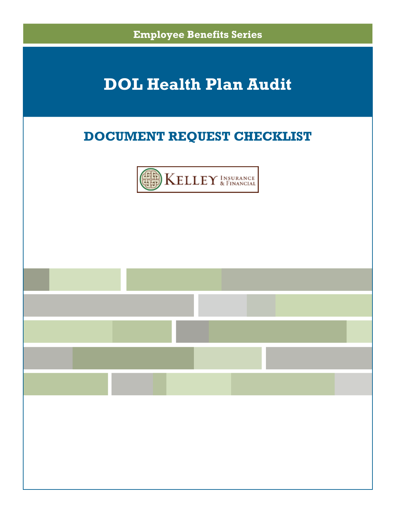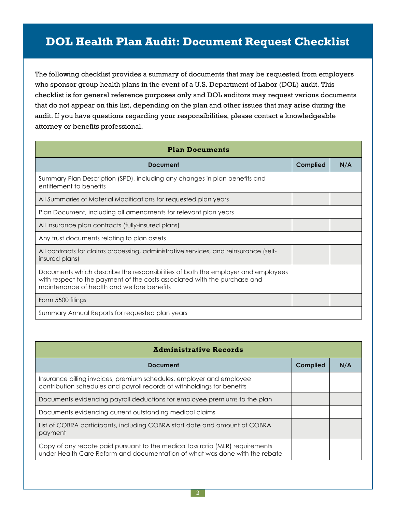The following checklist provides a summary of documents that may be requested from employers who sponsor group health plans in the event of a U.S. Department of Labor (DOL) audit. This checklist is for general reference purposes only and DOL auditors may request various documents that do not appear on this list, depending on the plan and other issues that may arise during the audit. If you have questions regarding your responsibilities, please contact a knowledgeable attorney or benefits professional.

| <b>Plan Documents</b>                                                                                                                                                                                       |          |     |
|-------------------------------------------------------------------------------------------------------------------------------------------------------------------------------------------------------------|----------|-----|
| Document                                                                                                                                                                                                    | Complied | N/A |
| Summary Plan Description (SPD), including any changes in plan benefits and<br>entitlement to benefits                                                                                                       |          |     |
| All Summaries of Material Modifications for requested plan years                                                                                                                                            |          |     |
| Plan Document, including all amendments for relevant plan years                                                                                                                                             |          |     |
| All insurance plan contracts (fully-insured plans)                                                                                                                                                          |          |     |
| Any trust documents relating to plan assets                                                                                                                                                                 |          |     |
| All contracts for claims processing, administrative services, and reinsurance (self-<br>insured plans)                                                                                                      |          |     |
| Documents which describe the responsibilities of both the employer and employees<br>with respect to the payment of the costs associated with the purchase and<br>maintenance of health and welfare benefits |          |     |
| Form 5500 filings                                                                                                                                                                                           |          |     |
| Summary Annual Reports for requested plan years                                                                                                                                                             |          |     |

| <b>Administrative Records</b>                                                                                                                                |          |     |
|--------------------------------------------------------------------------------------------------------------------------------------------------------------|----------|-----|
| Document                                                                                                                                                     | Complied | N/A |
| Insurance billing invoices, premium schedules, employer and employee<br>contribution schedules and payroll records of withholdings for benefits              |          |     |
| Documents evidencing payroll deductions for employee premiums to the plan                                                                                    |          |     |
| Documents evidencing current outstanding medical claims                                                                                                      |          |     |
| List of COBRA participants, including COBRA start date and amount of COBRA<br>payment                                                                        |          |     |
| Copy of any rebate paid pursuant to the medical loss ratio (MLR) requirements<br>under Health Care Reform and documentation of what was done with the rebate |          |     |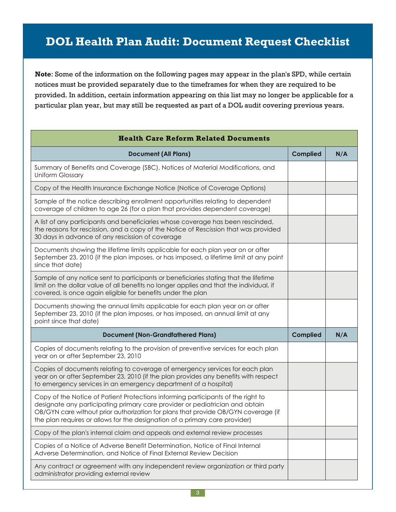**Note**: Some of the information on the following pages may appear in the plan's SPD, while certain notices must be provided separately due to the timeframes for when they are required to be provided. In addition, certain information appearing on this list may no longer be applicable for a particular plan year, but may still be requested as part of a DOL audit covering previous years.

| <b>Health Care Reform Related Documents</b>                                                                                                                                                                                                                                                                                           |                 |     |
|---------------------------------------------------------------------------------------------------------------------------------------------------------------------------------------------------------------------------------------------------------------------------------------------------------------------------------------|-----------------|-----|
| <b>Document (All Plans)</b>                                                                                                                                                                                                                                                                                                           | <b>Complied</b> | N/A |
| Summary of Benefits and Coverage (SBC), Notices of Material Modifications, and<br><b>Uniform Glossary</b>                                                                                                                                                                                                                             |                 |     |
| Copy of the Health Insurance Exchange Notice (Notice of Coverage Options)                                                                                                                                                                                                                                                             |                 |     |
| Sample of the notice describing enrollment opportunities relating to dependent<br>coverage of children to age 26 (for a plan that provides dependent coverage)                                                                                                                                                                        |                 |     |
| A list of any participants and beneficiaries whose coverage has been rescinded,<br>the reasons for rescission, and a copy of the Notice of Rescission that was provided<br>30 days in advance of any rescission of coverage                                                                                                           |                 |     |
| Documents showing the lifetime limits applicable for each plan year on or after<br>September 23, 2010 (if the plan imposes, or has imposed, a lifetime limit at any point<br>since that date)                                                                                                                                         |                 |     |
| Sample of any notice sent to participants or beneficiaries stating that the lifetime<br>limit on the dollar value of all benefits no longer applies and that the individual, if<br>covered, is once again eligible for benefits under the plan                                                                                        |                 |     |
| Documents showing the annual limits applicable for each plan year on or after<br>September 23, 2010 (if the plan imposes, or has imposed, an annual limit at any<br>point since that date)                                                                                                                                            |                 |     |
| <b>Document (Non-Grandfathered Plans)</b>                                                                                                                                                                                                                                                                                             | <b>Complied</b> | N/A |
| Copies of documents relating to the provision of preventive services for each plan<br>year on or after September 23, 2010                                                                                                                                                                                                             |                 |     |
| Copies of documents relating to coverage of emergency services for each plan<br>year on or after September 23, 2010 (if the plan provides any benefits with respect<br>to emergency services in an emergency department of a hospital)                                                                                                |                 |     |
| Copy of the Notice of Patient Protections informing participants of the right to<br>designate any participating primary care provider or pediatrician and obtain<br>OB/GYN care without prior authorization for plans that provide OB/GYN coverage (if<br>the plan requires or allows for the designation of a primary care provider) |                 |     |
| Copy of the plan's internal claim and appeals and external review processes                                                                                                                                                                                                                                                           |                 |     |
| Copies of a Notice of Adverse Benefit Determination, Notice of Final Internal<br>Adverse Determination, and Notice of Final External Review Decision                                                                                                                                                                                  |                 |     |
| Any contract or agreement with any independent review organization or third party<br>administrator providing external review                                                                                                                                                                                                          |                 |     |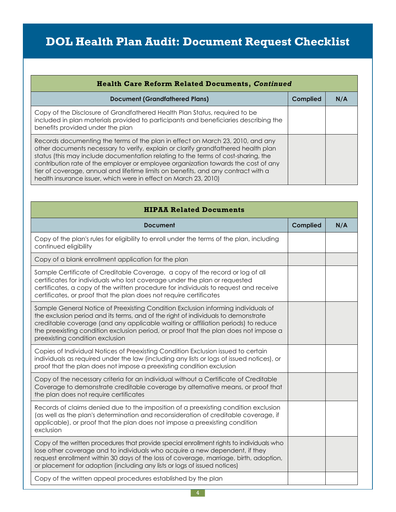| <b>Health Care Reform Related Documents, Continued</b>                                                                                                                                                                                                                                                                                                                                                                                                                                                  |                 |     |
|---------------------------------------------------------------------------------------------------------------------------------------------------------------------------------------------------------------------------------------------------------------------------------------------------------------------------------------------------------------------------------------------------------------------------------------------------------------------------------------------------------|-----------------|-----|
| <b>Document (Grandfathered Plans)</b>                                                                                                                                                                                                                                                                                                                                                                                                                                                                   | <b>Complied</b> | N/A |
| Copy of the Disclosure of Grandfathered Health Plan Status, required to be<br>included in plan materials provided to participants and beneficiaries describing the<br>benefits provided under the plan                                                                                                                                                                                                                                                                                                  |                 |     |
| Records documenting the terms of the plan in effect on March 23, 2010, and any<br>other documents necessary to verify, explain or clarify grandfathered health plan<br>status (this may include documentation relating to the terms of cost-sharing, the<br>contribution rate of the employer or employee organization towards the cost of any<br>tier of coverage, annual and lifetime limits on benefits, and any contract with a<br>health insurance issuer, which were in effect on March 23, 2010) |                 |     |

| <b>HIPAA Related Documents</b>                                                                                                                                                                                                                                                                                                                                                          |                 |     |
|-----------------------------------------------------------------------------------------------------------------------------------------------------------------------------------------------------------------------------------------------------------------------------------------------------------------------------------------------------------------------------------------|-----------------|-----|
| Document                                                                                                                                                                                                                                                                                                                                                                                | <b>Complied</b> | N/A |
| Copy of the plan's rules for eligibility to enroll under the terms of the plan, including<br>continued eligibility                                                                                                                                                                                                                                                                      |                 |     |
| Copy of a blank enrollment application for the plan                                                                                                                                                                                                                                                                                                                                     |                 |     |
| Sample Certificate of Creditable Coverage, a copy of the record or log of all<br>certificates for individuals who lost coverage under the plan or requested<br>certificates, a copy of the written procedure for individuals to request and receive<br>certificates, or proof that the plan does not require certificates                                                               |                 |     |
| Sample General Notice of Preexisting Condition Exclusion informing individuals of<br>the exclusion period and its terms, and of the right of individuals to demonstrate<br>creditable coverage (and any applicable waiting or affiliation periods) to reduce<br>the preexisting condition exclusion period, or proof that the plan does not impose a<br>preexisting condition exclusion |                 |     |
| Copies of Individual Notices of Preexisting Condition Exclusion issued to certain<br>individuals as required under the law (including any lists or logs of issued notices), or<br>proof that the plan does not impose a preexisting condition exclusion                                                                                                                                 |                 |     |
| Copy of the necessary criteria for an individual without a Certificate of Creditable<br>Coverage to demonstrate creditable coverage by alternative means, or proof that<br>the plan does not require certificates                                                                                                                                                                       |                 |     |
| Records of claims denied due to the imposition of a preexisting condition exclusion<br>(as well as the plan's determination and reconsideration of creditable coverage, if<br>applicable), or proof that the plan does not impose a preexisting condition<br>exclusion                                                                                                                  |                 |     |
| Copy of the written procedures that provide special enrollment rights to individuals who<br>lose other coverage and to individuals who acquire a new dependent, if they<br>request enrollment within 30 days of the loss of coverage, marriage, birth, adoption,<br>or placement for adoption (including any lists or logs of issued notices)                                           |                 |     |
| Copy of the written appeal procedures established by the plan                                                                                                                                                                                                                                                                                                                           |                 |     |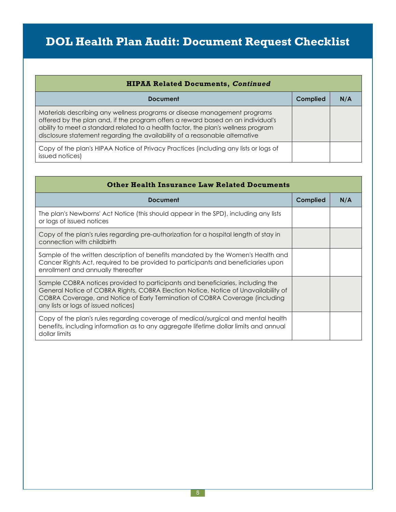| <b>HIPAA Related Documents, Continued</b>                                                                                                                                                                                                                                                                                          |                 |     |
|------------------------------------------------------------------------------------------------------------------------------------------------------------------------------------------------------------------------------------------------------------------------------------------------------------------------------------|-----------------|-----|
| Document                                                                                                                                                                                                                                                                                                                           | <b>Complied</b> | N/A |
| Materials describing any wellness programs or disease management programs<br>offered by the plan and, if the program offers a reward based on an individual's<br>ability to meet a standard related to a health factor, the plan's wellness program<br>disclosure statement regarding the availability of a reasonable alternative |                 |     |
| Copy of the plan's HIPAA Notice of Privacy Practices (including any lists or logs of<br>issued notices)                                                                                                                                                                                                                            |                 |     |

| <b>Other Health Insurance Law Related Documents</b>                                                                                                                                                                                                                                          |          |     |
|----------------------------------------------------------------------------------------------------------------------------------------------------------------------------------------------------------------------------------------------------------------------------------------------|----------|-----|
| <b>Document</b>                                                                                                                                                                                                                                                                              | Complied | N/A |
| The plan's Newborns' Act Notice (this should appear in the SPD), including any lists<br>or logs of issued notices                                                                                                                                                                            |          |     |
| Copy of the plan's rules regarding pre-authorization for a hospital length of stay in<br>connection with childbirth                                                                                                                                                                          |          |     |
| Sample of the written description of benefits mandated by the Women's Health and<br>Cancer Rights Act, required to be provided to participants and beneficiaries upon<br>enrollment and annually thereafter                                                                                  |          |     |
| Sample COBRA notices provided to participants and beneficiaries, including the<br>General Notice of COBRA Rights, COBRA Election Notice, Notice of Unavailability of<br>COBRA Coverage, and Notice of Early Termination of COBRA Coverage (including<br>any lists or logs of issued notices) |          |     |
| Copy of the plan's rules regarding coverage of medical/surgical and mental health<br>benefits, including information as to any aggregate lifetime dollar limits and annual<br>dollar limits                                                                                                  |          |     |